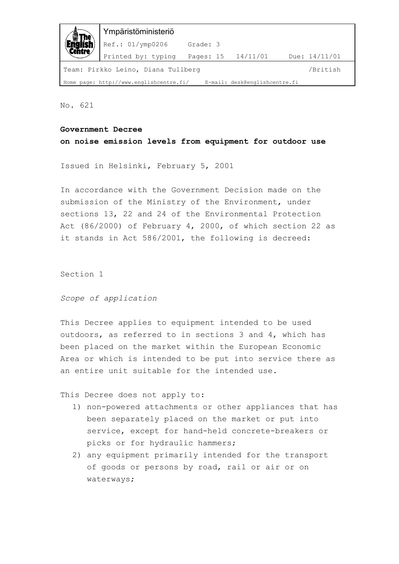| 鱼                                                                        | Ympäristöministeriö |                    |  |                 |  |  |  |
|--------------------------------------------------------------------------|---------------------|--------------------|--|-----------------|--|--|--|
|                                                                          | Ref.: 01/ymp0206    | Grade: 3           |  |                 |  |  |  |
|                                                                          | Printed by: typing  | Pages: 15 14/11/01 |  | Due: $14/11/01$ |  |  |  |
| /British<br>Team: Pirkko Leino, Diana Tullberg                           |                     |                    |  |                 |  |  |  |
| Home page: http://www.englishcentre.fi/<br>E-mail: desk@englishcentre.fi |                     |                    |  |                 |  |  |  |

No. 621

## **Government Decree**

**on noise emission levels from equipment for outdoor use** 

Issued in Helsinki, February 5, 2001

In accordance with the Government Decision made on the submission of the Ministry of the Environment, under sections 13, 22 and 24 of the Environmental Protection Act (86/2000) of February 4, 2000, of which section 22 as it stands in Act 586/2001, the following is decreed:

Section 1

*Scope of application* 

This Decree applies to equipment intended to be used outdoors, as referred to in sections 3 and 4, which has been placed on the market within the European Economic Area or which is intended to be put into service there as an entire unit suitable for the intended use.

This Decree does not apply to:

- 1) non-powered attachments or other appliances that has been separately placed on the market or put into service, except for hand-held concrete-breakers or picks or for hydraulic hammers;
- 2) any equipment primarily intended for the transport of goods or persons by road, rail or air or on waterways;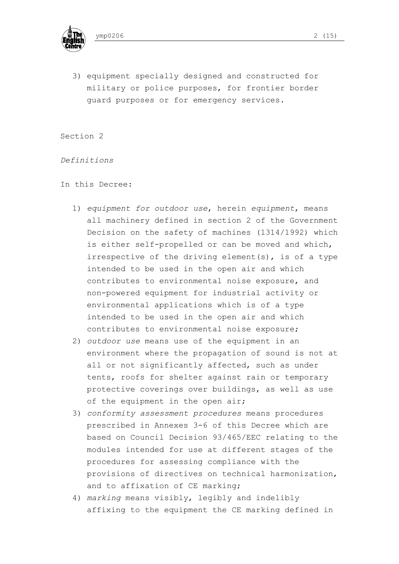

3) equipment specially designed and constructed for military or police purposes, for frontier border guard purposes or for emergency services.

Section 2

*Definitions* 

In this Decree:

- 1) *equipment for outdoor use*, herein *equipment*, means all machinery defined in section 2 of the Government Decision on the safety of machines (1314/1992) which is either self-propelled or can be moved and which, irrespective of the driving element(s), is of a type intended to be used in the open air and which contributes to environmental noise exposure, and non-powered equipment for industrial activity or environmental applications which is of a type intended to be used in the open air and which contributes to environmental noise exposure;
- 2) *outdoor use* means use of the equipment in an environment where the propagation of sound is not at all or not significantly affected, such as under tents, roofs for shelter against rain or temporary protective coverings over buildings, as well as use of the equipment in the open air;
- 3) *conformity assessment procedures* means procedures prescribed in Annexes 3-6 of this Decree which are based on Council Decision 93/465/EEC relating to the modules intended for use at different stages of the procedures for assessing compliance with the provisions of directives on technical harmonization, and to affixation of CE marking;
- 4) *marking* means visibly, legibly and indelibly affixing to the equipment the CE marking defined in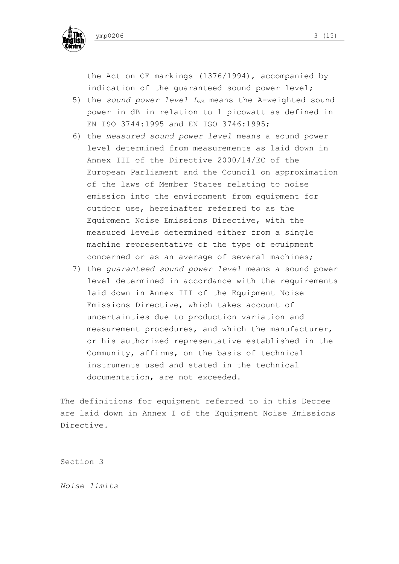

the Act on CE markings (1376/1994), accompanied by indication of the guaranteed sound power level;

- 5) the *sound power level L<sub>WA</sub>* means the A-weighted sound power in dB in relation to 1 picowatt as defined in EN ISO 3744:1995 and EN ISO 3746:1995;
- 6) the *measured sound power level* means a sound power level determined from measurements as laid down in Annex III of the Directive 2000/14/EC of the European Parliament and the Council on approximation of the laws of Member States relating to noise emission into the environment from equipment for outdoor use, hereinafter referred to as the Equipment Noise Emissions Directive, with the measured levels determined either from a single machine representative of the type of equipment concerned or as an average of several machines;
- 7) the *guaranteed sound power level* means a sound power level determined in accordance with the requirements laid down in Annex III of the Equipment Noise Emissions Directive, which takes account of uncertainties due to production variation and measurement procedures, and which the manufacturer, or his authorized representative established in the Community, affirms, on the basis of technical instruments used and stated in the technical documentation, are not exceeded.

The definitions for equipment referred to in this Decree are laid down in Annex I of the Equipment Noise Emissions Directive.

Section 3

*Noise limits*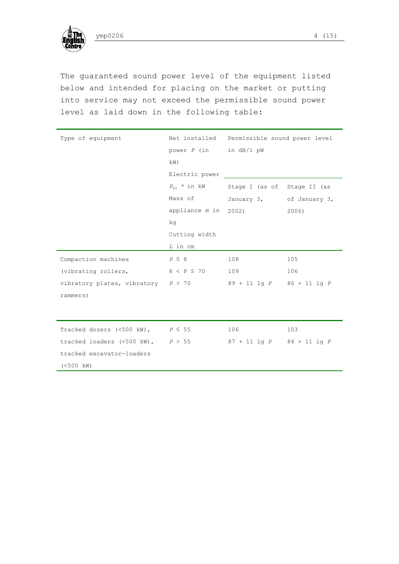

The guaranteed sound power level of the equipment listed below and intended for placing on the market or putting into service may not exceed the permissible sound power level as laid down in the following table:

| Type of equipment                                              |                            | Net installed Permissible sound power level  |       |  |  |
|----------------------------------------------------------------|----------------------------|----------------------------------------------|-------|--|--|
|                                                                | power $P$ (in in $dB/1$ pW |                                              |       |  |  |
|                                                                | kW)                        |                                              |       |  |  |
|                                                                | Electric power             |                                              |       |  |  |
|                                                                |                            | $P_{e1}$ * in kW Stage I (as of Stage II (as |       |  |  |
|                                                                | Mass of                    | January 3, of January 3,                     |       |  |  |
|                                                                | appliance m in 2002)       |                                              | 2006) |  |  |
|                                                                | kg                         |                                              |       |  |  |
|                                                                | Cutting width              |                                              |       |  |  |
|                                                                | L in cm                    |                                              |       |  |  |
| Compaction machines                                            | $P \leq 8$                 | 108                                          | 105   |  |  |
| (vibrating rollers, $8 < P \le 70$                             |                            | 109                                          | 106   |  |  |
| vibratory plates, vibratory $P > 70$ 89 + 11 lq P 86 + 11 lq P |                            |                                              |       |  |  |
| rammers)                                                       |                            |                                              |       |  |  |
|                                                                |                            |                                              |       |  |  |
|                                                                |                            |                                              |       |  |  |
| Tracked dozers (<500 kW), $P \le 55$                           |                            | 106                                          | 103   |  |  |
| tracked loaders $(\leq 500 \text{ kW})$ , $P > 55$             |                            | $87 + 11$ lg $P$ $84 + 11$ lg $P$            |       |  |  |
| tracked excavator-loaders                                      |                            |                                              |       |  |  |
| $(<500$ kW)                                                    |                            |                                              |       |  |  |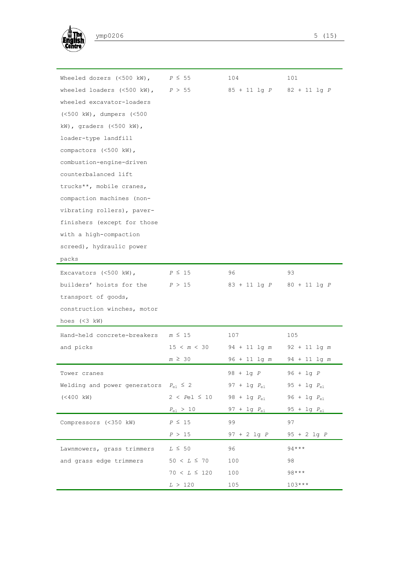

| wheeled loaders $(<500 \text{ kW})$ , $P > 55$<br>$85 + 11$ lg $P$<br>$82 + 11$ lg P<br>wheeled excavator-loaders<br>(<500 kW), dumpers (<500<br>kW), graders $(\leq 500 \text{ kW})$ ,<br>loader-type landfill<br>compactors (<500 kW),<br>combustion-engine-driven<br>counterbalanced lift<br>trucks**, mobile cranes,<br>compaction machines (non-<br>vibrating rollers), paver-<br>finishers (except for those<br>with a high-compaction<br>screed), hydraulic power<br>packs<br>96<br>93<br>Excavators $(<500 \text{ kW})$ ,<br>$P \leq 15$<br>builders' hoists for the $P > 15$<br>$83 + 11$ lg $P$<br>$80 + 11$ lg P<br>transport of goods,<br>construction winches, motor<br>hoes $(3 kW)$<br>Hand-held concrete-breakers<br>$m \leq 15$<br>107<br>105<br>and picks<br>15 < m < 30<br>$94 + 11$ lg m<br>$92 + 11$ 1q m<br>$m \geq 30$<br>$96 + 11$ lg m<br>$94 + 11$ lg m<br>98 + lq <i>P</i><br>96 + lg <i>P</i><br>Tower cranes<br>Welding and power generators $P_{e1} \leq 2$<br>$97 + 1g P_{e1}$<br>$95 + 1g P_{e1}$<br>$2 < Pe1 \leq 10$<br>$(< 400 \text{ kW})$<br>$98 + 1g P_{e1}$<br>96 + $1g$ $P_{e1}$<br>$P_{\rm e1}$ > 10<br>97 + $1g$ $P_{e1}$<br>$95 + 1g P_{e1}$<br>$P \leq 15$<br>99<br>97<br>Compressors (<350 kW)<br>P > 15<br>$97 + 2$ 1g $P$<br>$95 + 2$ lg $P$<br>$94***$<br>$L \leq 50$<br>96<br>Lawnmowers, grass trimmers<br>$50 < L \leq 70$<br>100<br>98<br>and grass edge trimmers<br>$98***$<br>$70 < L \leq 120$<br>100<br>$103***$<br>105<br>L > 120 | Wheeled dozers $(\leq 500 \text{ km})$ , | $P \leq 55$ | 104 | 101 |
|--------------------------------------------------------------------------------------------------------------------------------------------------------------------------------------------------------------------------------------------------------------------------------------------------------------------------------------------------------------------------------------------------------------------------------------------------------------------------------------------------------------------------------------------------------------------------------------------------------------------------------------------------------------------------------------------------------------------------------------------------------------------------------------------------------------------------------------------------------------------------------------------------------------------------------------------------------------------------------------------------------------------------------------------------------------------------------------------------------------------------------------------------------------------------------------------------------------------------------------------------------------------------------------------------------------------------------------------------------------------------------------------------------------------------------------------------------------------------------------------|------------------------------------------|-------------|-----|-----|
|                                                                                                                                                                                                                                                                                                                                                                                                                                                                                                                                                                                                                                                                                                                                                                                                                                                                                                                                                                                                                                                                                                                                                                                                                                                                                                                                                                                                                                                                                            |                                          |             |     |     |
|                                                                                                                                                                                                                                                                                                                                                                                                                                                                                                                                                                                                                                                                                                                                                                                                                                                                                                                                                                                                                                                                                                                                                                                                                                                                                                                                                                                                                                                                                            |                                          |             |     |     |
|                                                                                                                                                                                                                                                                                                                                                                                                                                                                                                                                                                                                                                                                                                                                                                                                                                                                                                                                                                                                                                                                                                                                                                                                                                                                                                                                                                                                                                                                                            |                                          |             |     |     |
|                                                                                                                                                                                                                                                                                                                                                                                                                                                                                                                                                                                                                                                                                                                                                                                                                                                                                                                                                                                                                                                                                                                                                                                                                                                                                                                                                                                                                                                                                            |                                          |             |     |     |
|                                                                                                                                                                                                                                                                                                                                                                                                                                                                                                                                                                                                                                                                                                                                                                                                                                                                                                                                                                                                                                                                                                                                                                                                                                                                                                                                                                                                                                                                                            |                                          |             |     |     |
|                                                                                                                                                                                                                                                                                                                                                                                                                                                                                                                                                                                                                                                                                                                                                                                                                                                                                                                                                                                                                                                                                                                                                                                                                                                                                                                                                                                                                                                                                            |                                          |             |     |     |
|                                                                                                                                                                                                                                                                                                                                                                                                                                                                                                                                                                                                                                                                                                                                                                                                                                                                                                                                                                                                                                                                                                                                                                                                                                                                                                                                                                                                                                                                                            |                                          |             |     |     |
|                                                                                                                                                                                                                                                                                                                                                                                                                                                                                                                                                                                                                                                                                                                                                                                                                                                                                                                                                                                                                                                                                                                                                                                                                                                                                                                                                                                                                                                                                            |                                          |             |     |     |
|                                                                                                                                                                                                                                                                                                                                                                                                                                                                                                                                                                                                                                                                                                                                                                                                                                                                                                                                                                                                                                                                                                                                                                                                                                                                                                                                                                                                                                                                                            |                                          |             |     |     |
|                                                                                                                                                                                                                                                                                                                                                                                                                                                                                                                                                                                                                                                                                                                                                                                                                                                                                                                                                                                                                                                                                                                                                                                                                                                                                                                                                                                                                                                                                            |                                          |             |     |     |
|                                                                                                                                                                                                                                                                                                                                                                                                                                                                                                                                                                                                                                                                                                                                                                                                                                                                                                                                                                                                                                                                                                                                                                                                                                                                                                                                                                                                                                                                                            |                                          |             |     |     |
|                                                                                                                                                                                                                                                                                                                                                                                                                                                                                                                                                                                                                                                                                                                                                                                                                                                                                                                                                                                                                                                                                                                                                                                                                                                                                                                                                                                                                                                                                            |                                          |             |     |     |
|                                                                                                                                                                                                                                                                                                                                                                                                                                                                                                                                                                                                                                                                                                                                                                                                                                                                                                                                                                                                                                                                                                                                                                                                                                                                                                                                                                                                                                                                                            |                                          |             |     |     |
|                                                                                                                                                                                                                                                                                                                                                                                                                                                                                                                                                                                                                                                                                                                                                                                                                                                                                                                                                                                                                                                                                                                                                                                                                                                                                                                                                                                                                                                                                            |                                          |             |     |     |
|                                                                                                                                                                                                                                                                                                                                                                                                                                                                                                                                                                                                                                                                                                                                                                                                                                                                                                                                                                                                                                                                                                                                                                                                                                                                                                                                                                                                                                                                                            |                                          |             |     |     |
|                                                                                                                                                                                                                                                                                                                                                                                                                                                                                                                                                                                                                                                                                                                                                                                                                                                                                                                                                                                                                                                                                                                                                                                                                                                                                                                                                                                                                                                                                            |                                          |             |     |     |
|                                                                                                                                                                                                                                                                                                                                                                                                                                                                                                                                                                                                                                                                                                                                                                                                                                                                                                                                                                                                                                                                                                                                                                                                                                                                                                                                                                                                                                                                                            |                                          |             |     |     |
|                                                                                                                                                                                                                                                                                                                                                                                                                                                                                                                                                                                                                                                                                                                                                                                                                                                                                                                                                                                                                                                                                                                                                                                                                                                                                                                                                                                                                                                                                            |                                          |             |     |     |
|                                                                                                                                                                                                                                                                                                                                                                                                                                                                                                                                                                                                                                                                                                                                                                                                                                                                                                                                                                                                                                                                                                                                                                                                                                                                                                                                                                                                                                                                                            |                                          |             |     |     |
|                                                                                                                                                                                                                                                                                                                                                                                                                                                                                                                                                                                                                                                                                                                                                                                                                                                                                                                                                                                                                                                                                                                                                                                                                                                                                                                                                                                                                                                                                            |                                          |             |     |     |
|                                                                                                                                                                                                                                                                                                                                                                                                                                                                                                                                                                                                                                                                                                                                                                                                                                                                                                                                                                                                                                                                                                                                                                                                                                                                                                                                                                                                                                                                                            |                                          |             |     |     |
|                                                                                                                                                                                                                                                                                                                                                                                                                                                                                                                                                                                                                                                                                                                                                                                                                                                                                                                                                                                                                                                                                                                                                                                                                                                                                                                                                                                                                                                                                            |                                          |             |     |     |
|                                                                                                                                                                                                                                                                                                                                                                                                                                                                                                                                                                                                                                                                                                                                                                                                                                                                                                                                                                                                                                                                                                                                                                                                                                                                                                                                                                                                                                                                                            |                                          |             |     |     |
|                                                                                                                                                                                                                                                                                                                                                                                                                                                                                                                                                                                                                                                                                                                                                                                                                                                                                                                                                                                                                                                                                                                                                                                                                                                                                                                                                                                                                                                                                            |                                          |             |     |     |
|                                                                                                                                                                                                                                                                                                                                                                                                                                                                                                                                                                                                                                                                                                                                                                                                                                                                                                                                                                                                                                                                                                                                                                                                                                                                                                                                                                                                                                                                                            |                                          |             |     |     |
|                                                                                                                                                                                                                                                                                                                                                                                                                                                                                                                                                                                                                                                                                                                                                                                                                                                                                                                                                                                                                                                                                                                                                                                                                                                                                                                                                                                                                                                                                            |                                          |             |     |     |
|                                                                                                                                                                                                                                                                                                                                                                                                                                                                                                                                                                                                                                                                                                                                                                                                                                                                                                                                                                                                                                                                                                                                                                                                                                                                                                                                                                                                                                                                                            |                                          |             |     |     |
|                                                                                                                                                                                                                                                                                                                                                                                                                                                                                                                                                                                                                                                                                                                                                                                                                                                                                                                                                                                                                                                                                                                                                                                                                                                                                                                                                                                                                                                                                            |                                          |             |     |     |
|                                                                                                                                                                                                                                                                                                                                                                                                                                                                                                                                                                                                                                                                                                                                                                                                                                                                                                                                                                                                                                                                                                                                                                                                                                                                                                                                                                                                                                                                                            |                                          |             |     |     |
|                                                                                                                                                                                                                                                                                                                                                                                                                                                                                                                                                                                                                                                                                                                                                                                                                                                                                                                                                                                                                                                                                                                                                                                                                                                                                                                                                                                                                                                                                            |                                          |             |     |     |
|                                                                                                                                                                                                                                                                                                                                                                                                                                                                                                                                                                                                                                                                                                                                                                                                                                                                                                                                                                                                                                                                                                                                                                                                                                                                                                                                                                                                                                                                                            |                                          |             |     |     |
|                                                                                                                                                                                                                                                                                                                                                                                                                                                                                                                                                                                                                                                                                                                                                                                                                                                                                                                                                                                                                                                                                                                                                                                                                                                                                                                                                                                                                                                                                            |                                          |             |     |     |
|                                                                                                                                                                                                                                                                                                                                                                                                                                                                                                                                                                                                                                                                                                                                                                                                                                                                                                                                                                                                                                                                                                                                                                                                                                                                                                                                                                                                                                                                                            |                                          |             |     |     |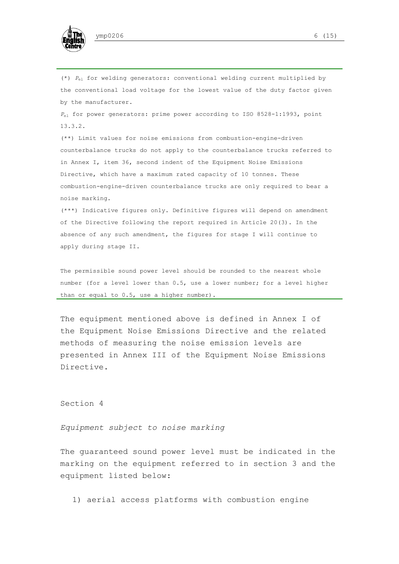

(\*) *P*el for welding generators: conventional welding current multiplied by the conventional load voltage for the lowest value of the duty factor given by the manufacturer.

*P*el for power generators: prime power according to ISO 8528-1:1993, point 13.3.2.

(\*\*) Limit values for noise emissions from combustion-engine-driven counterbalance trucks do not apply to the counterbalance trucks referred to in Annex I, item 36, second indent of the Equipment Noise Emissions Directive, which have a maximum rated capacity of 10 tonnes. These combustion-engine-driven counterbalance trucks are only required to bear a noise marking.

(\*\*\*) Indicative figures only. Definitive figures will depend on amendment of the Directive following the report required in Article 20(3). In the absence of any such amendment, the figures for stage I will continue to apply during stage II.

The permissible sound power level should be rounded to the nearest whole number (for a level lower than 0.5, use a lower number; for a level higher than or equal to 0.5, use a higher number).

The equipment mentioned above is defined in Annex I of the Equipment Noise Emissions Directive and the related methods of measuring the noise emission levels are presented in Annex III of the Equipment Noise Emissions Directive.

Section 4

*Equipment subject to noise marking* 

The guaranteed sound power level must be indicated in the marking on the equipment referred to in section 3 and the equipment listed below:

1) aerial access platforms with combustion engine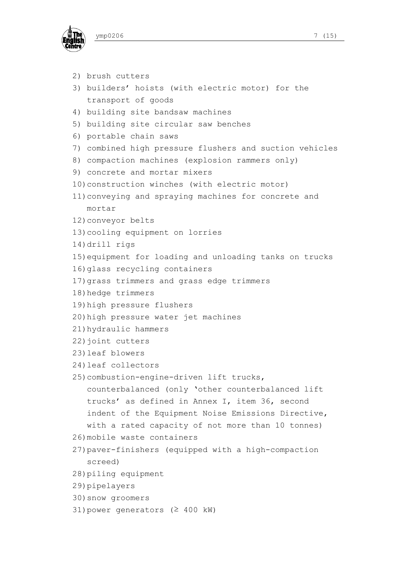



```
2) brush cutters 
3) builders' hoists (with electric motor) for the 
   transport of goods 
4) building site bandsaw machines 
5) building site circular saw benches 
6) portable chain saws 
7) combined high pressure flushers and suction vehicles 
8) compaction machines (explosion rammers only) 
9) concrete and mortar mixers 
10) construction winches (with electric motor) 
11) conveying and spraying machines for concrete and 
   mortar 
12) conveyor belts 
13) cooling equipment on lorries 
14) drill rigs 
15) equipment for loading and unloading tanks on trucks 
16) glass recycling containers 
17) grass trimmers and grass edge trimmers 
18) hedge trimmers 
19) high pressure flushers 
20) high pressure water jet machines 
21) hydraulic hammers 
22) joint cutters 
23) leaf blowers 
24) leaf collectors 
25) combustion-engine-driven lift trucks, 
   counterbalanced (only 'other counterbalanced lift 
   trucks' as defined in Annex I, item 36, second 
   indent of the Equipment Noise Emissions Directive, 
   with a rated capacity of not more than 10 tonnes) 
26) mobile waste containers 
27) paver-finishers (equipped with a high-compaction 
   screed) 
28) piling equipment 
29) pipelayers 
30) snow groomers 
31) power generators (≥ 400 kW)
```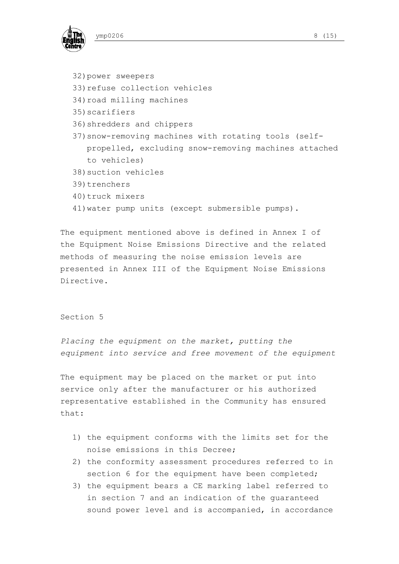

- 32) power sweepers
- 33) refuse collection vehicles
- 34) road milling machines
- 35) scarifiers
- 36) shredders and chippers
- 37) snow-removing machines with rotating tools (selfpropelled, excluding snow-removing machines attached to vehicles)
- 38) suction vehicles
- 39) trenchers
- 40) truck mixers
- 41) water pump units (except submersible pumps).

The equipment mentioned above is defined in Annex I of the Equipment Noise Emissions Directive and the related methods of measuring the noise emission levels are presented in Annex III of the Equipment Noise Emissions Directive.

## Section 5

*Placing the equipment on the market, putting the equipment into service and free movement of the equipment* 

The equipment may be placed on the market or put into service only after the manufacturer or his authorized representative established in the Community has ensured that:

- 1) the equipment conforms with the limits set for the noise emissions in this Decree;
- 2) the conformity assessment procedures referred to in section 6 for the equipment have been completed;
- 3) the equipment bears a CE marking label referred to in section 7 and an indication of the guaranteed sound power level and is accompanied, in accordance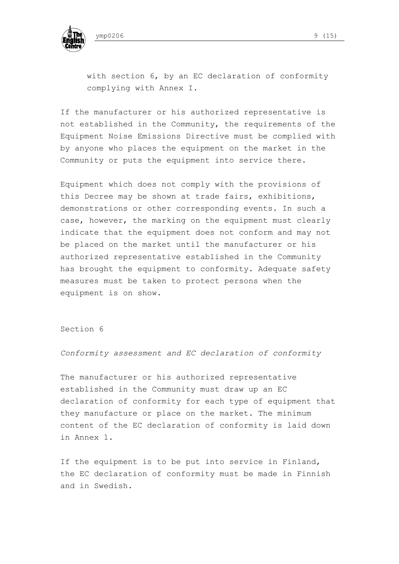

with section 6, by an EC declaration of conformity complying with Annex I.

If the manufacturer or his authorized representative is not established in the Community, the requirements of the Equipment Noise Emissions Directive must be complied with by anyone who places the equipment on the market in the Community or puts the equipment into service there.

Equipment which does not comply with the provisions of this Decree may be shown at trade fairs, exhibitions, demonstrations or other corresponding events. In such a case, however, the marking on the equipment must clearly indicate that the equipment does not conform and may not be placed on the market until the manufacturer or his authorized representative established in the Community has brought the equipment to conformity. Adequate safety measures must be taken to protect persons when the equipment is on show.

Section 6

*Conformity assessment and EC declaration of conformity* 

The manufacturer or his authorized representative established in the Community must draw up an EC declaration of conformity for each type of equipment that they manufacture or place on the market. The minimum content of the EC declaration of conformity is laid down in Annex 1.

If the equipment is to be put into service in Finland, the EC declaration of conformity must be made in Finnish and in Swedish.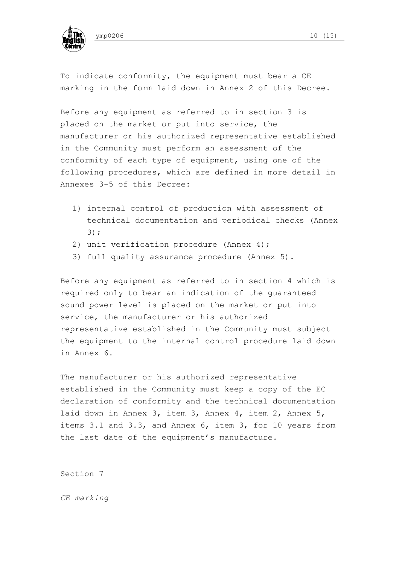



To indicate conformity, the equipment must bear a CE marking in the form laid down in Annex 2 of this Decree.

Before any equipment as referred to in section 3 is placed on the market or put into service, the manufacturer or his authorized representative established in the Community must perform an assessment of the conformity of each type of equipment, using one of the following procedures, which are defined in more detail in Annexes 3-5 of this Decree:

- 1) internal control of production with assessment of technical documentation and periodical checks (Annex 3);
- 2) unit verification procedure (Annex 4);
- 3) full quality assurance procedure (Annex 5).

Before any equipment as referred to in section 4 which is required only to bear an indication of the guaranteed sound power level is placed on the market or put into service, the manufacturer or his authorized representative established in the Community must subject the equipment to the internal control procedure laid down in Annex 6.

The manufacturer or his authorized representative established in the Community must keep a copy of the EC declaration of conformity and the technical documentation laid down in Annex 3, item 3, Annex 4, item 2, Annex 5, items 3.1 and 3.3, and Annex 6, item 3, for 10 years from the last date of the equipment's manufacture.

Section 7

*CE marking*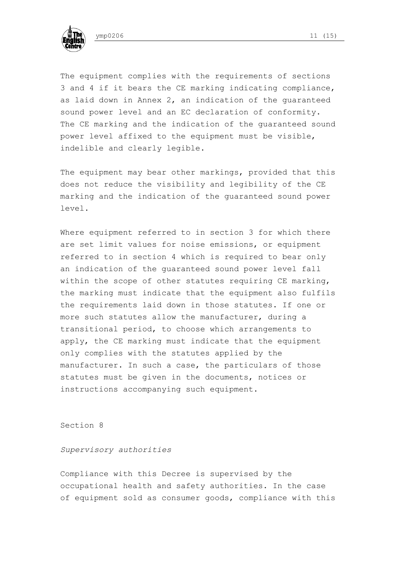



The equipment complies with the requirements of sections 3 and 4 if it bears the CE marking indicating compliance, as laid down in Annex 2, an indication of the guaranteed sound power level and an EC declaration of conformity. The CE marking and the indication of the guaranteed sound power level affixed to the equipment must be visible, indelible and clearly legible.

The equipment may bear other markings, provided that this does not reduce the visibility and legibility of the CE marking and the indication of the guaranteed sound power level.

Where equipment referred to in section 3 for which there are set limit values for noise emissions, or equipment referred to in section 4 which is required to bear only an indication of the guaranteed sound power level fall within the scope of other statutes requiring CE marking, the marking must indicate that the equipment also fulfils the requirements laid down in those statutes. If one or more such statutes allow the manufacturer, during a transitional period, to choose which arrangements to apply, the CE marking must indicate that the equipment only complies with the statutes applied by the manufacturer. In such a case, the particulars of those statutes must be given in the documents, notices or instructions accompanying such equipment.

Section 8

# *Supervisory authorities*

Compliance with this Decree is supervised by the occupational health and safety authorities. In the case of equipment sold as consumer goods, compliance with this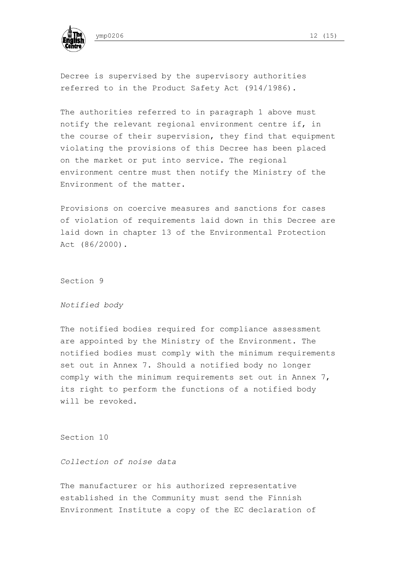

Decree is supervised by the supervisory authorities referred to in the Product Safety Act (914/1986).

The authorities referred to in paragraph 1 above must notify the relevant regional environment centre if, in the course of their supervision, they find that equipment violating the provisions of this Decree has been placed on the market or put into service. The regional environment centre must then notify the Ministry of the Environment of the matter.

Provisions on coercive measures and sanctions for cases of violation of requirements laid down in this Decree are laid down in chapter 13 of the Environmental Protection Act (86/2000).

Section 9

#### *Notified body*

The notified bodies required for compliance assessment are appointed by the Ministry of the Environment. The notified bodies must comply with the minimum requirements set out in Annex 7. Should a notified body no longer comply with the minimum requirements set out in Annex 7, its right to perform the functions of a notified body will be revoked.

Section 10

# *Collection of noise data*

The manufacturer or his authorized representative established in the Community must send the Finnish Environment Institute a copy of the EC declaration of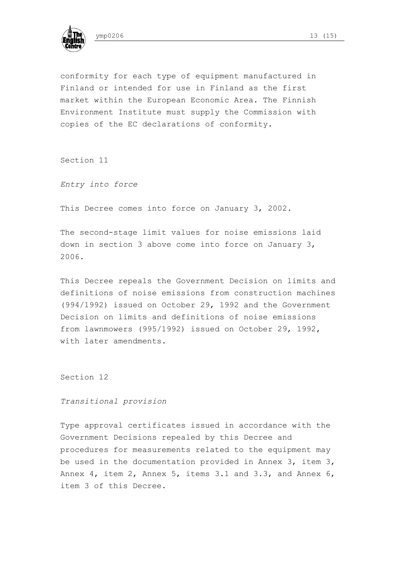

conformity for each type of equipment manufactured in Finland or intended for use in Finland as the first market within the European Economic Area. The Finnish Environment Institute must supply the Commission with

Section 11

*Entry into force* 

This Decree comes into force on January 3, 2002.

copies of the EC declarations of conformity.

The second-stage limit values for noise emissions laid down in section 3 above come into force on January 3, 2006.

This Decree repeals the Government Decision on limits and definitions of noise emissions from construction machines (994/1992) issued on October 29, 1992 and the Government Decision on limits and definitions of noise emissions from lawnmowers (995/1992) issued on October 29, 1992, with later amendments.

Section 12

*Transitional provision* 

Type approval certificates issued in accordance with the Government Decisions repealed by this Decree and procedures for measurements related to the equipment may be used in the documentation provided in Annex 3, item 3, Annex 4, item 2, Annex 5, items 3.1 and 3.3, and Annex 6, item 3 of this Decree.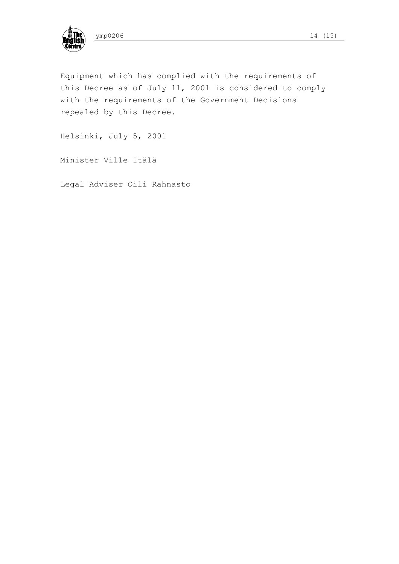

Equipment which has complied with the requirements of this Decree as of July 11, 2001 is considered to comply with the requirements of the Government Decisions repealed by this Decree.

Helsinki, July 5, 2001

Minister Ville Itälä

Legal Adviser Oili Rahnasto